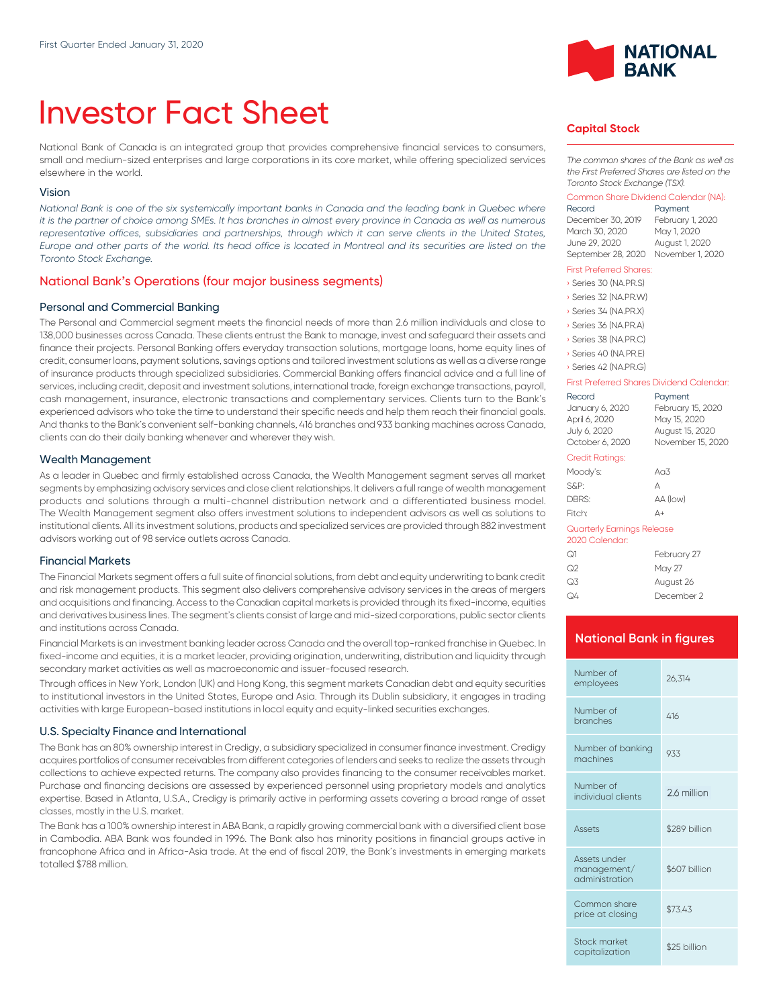# Investor Fact Sheet

National Bank of Canada is an integrated group that provides comprehensive financial services to consumers, small and medium-sized enterprises and large corporations in its core market, while offering specialized services elsewhere in the world.

#### Vision

*National Bank is one of the six systemically important banks in Canada and the leading bank in Quebec where it is the partner of choice among SMEs. It has branches in almost every province in Canada as well as numerous* representative offices, subsidiaries and partnerships, through which it can serve clients in the United States, *Europe and other parts of the world. Its head office is located in Montreal and its securities are listed on the Toronto Stock Exchange.*

### National Bank's Operations (four major business segments)

#### Personal and Commercial Banking

The Personal and Commercial segment meets the financial needs of more than 2.6 million individuals and close to 138,000 businesses across Canada. These clients entrust the Bank to manage, invest and safeguard their assets and finance their projects. Personal Banking offers everyday transaction solutions, mortgage loans, home equity lines of credit, consumer loans, payment solutions, savings options and tailored investment solutions as well as a diverse range of insurance products through specialized subsidiaries. Commercial Banking offers financial advice and a full line of services, including credit, deposit and investment solutions, international trade, foreign exchange transactions, payroll, cash management, insurance, electronic transactions and complementary services. Clients turn to the Bank's experienced advisors who take the time to understand their specific needs and help them reach their financial goals. And thanks to the Bank's convenient self-banking channels, 416 branches and 933 banking machines across Canada, clients can do their daily banking whenever and wherever they wish.

#### Wealth Management

As a leader in Quebec and firmly established across Canada, the Wealth Management segment serves all market segments by emphasizing advisory services and close client relationships. lt delivers a full range of wealth management products and solutions through a multi-channel distribution network and a differentiated business model. The Wealth Management segment also offers investment solutions to independent advisors as well as solutions to institutional clients. All its investment solutions, products and specialized services are provided through 882 investment advisors working out of 98 service outlets across Canada.

#### Financial Markets

The Financial Markets segment offers a full suite of financial solutions, from debt and equity underwriting to bank credit and risk management products. This segment also delivers comprehensive advisory services in the areas of mergers and acquisitions and financing. Access to the Canadian capital markets is provided through its fixed-income, equities and derivatives business lines. The segment's clients consist of large and mid-sized corporations, public sector clients and institutions across Canada.

Financial Markets is an investment banking leader across Canada and the overall top-ranked franchise in Quebec. In fixed-income and equities, it is a market leader, providing origination, underwriting, distribution and liquidity through secondary market activities as well as macroeconomic and issuer-focused research.

Through offices in New York, London (UK) and Hong Kong, this segment markets Canadian debt and equity securities to institutional investors in the United States, Europe and Asia. Through its Dublin subsidiary, it engages in trading activities with large European-based institutions in local equity and equity-linked securities exchanges.

#### U.S. Specialty Finance and International

The Bank has an 80% ownership interest in Credigy, a subsidiary specialized in consumer finance investment. Credigy acquires portfolios of consumer receivables from different categories of lenders and seeks to realize the assets through collections to achieve expected returns. The company also provides financing to the consumer receivables market. Purchase and financing decisions are assessed by experienced personnel using proprietary models and analytics expertise. Based in Atlanta, U.S.A., Credigy is primarily active in performing assets covering a broad range of asset classes, mostly in the U.S. market.

The Bank has a 100% ownership interest in ABA Bank, a rapidly growing commercial bank with a diversified client base in Cambodia. ABA Bank was founded in 1996. The Bank also has minority positions in financial groups active in francophone Africa and in Africa-Asia trade. At the end of fiscal 2019, the Bank's investments in emerging markets totalled \$788 million.



# **Capital Stock**

*The common shares of the Bank as well as the First Preferred Shares are listed on the Toronto Stock Exchange (TSX).*

# Common Share Dividend Calendar (NA):

Payment December 30, 2019 February 1, 2020 March 30, 2020 June 29, 2020 August 1, 2020 September 28, 2020 November 1, 2020

#### First Preferred Shares:

| Series 30 (NA.PR.S)   |
|-----------------------|
| Series 32 (NA, PR, W) |
| Series 34 (NA.PR.X)   |
| Series 36 (NA.PR.A)   |
| Series 38 (NA.PR.C)   |
| Series 40 (NA.PR.E)   |

› Series 42 (NA.PR.G)

#### First Preferred Shares Dividend Calendar:

| Record                                       | Payment           |
|----------------------------------------------|-------------------|
| January 6, 2020                              | February 15, 2020 |
| April 6, 2020                                | May 15, 2020      |
| July 6, 2020                                 | August 15, 2020   |
| October 6, 2020                              | November 15, 2020 |
| Credit Ratings:                              |                   |
| Moody's:                                     | A <sub>0</sub> 3  |
| S&P:                                         | А                 |
| DBRS:                                        | AA (low)          |
| Fitch <sup>.</sup>                           | Δ+                |
| Quarterly Earnings Release<br>2020 Calendar: |                   |
|                                              |                   |

| ೧1 | February 27 |
|----|-------------|
| ೧2 | May 27      |
| Q3 | August 26   |
| Q4 | December 2  |

#### **National Bank in figures**

| Number of<br>employees                        | 26.314        |
|-----------------------------------------------|---------------|
| Number of<br>branches                         | 416           |
| Number of banking<br>machines                 | 933           |
| Number of<br>individual clients               | 2.6 million   |
| <b>Assets</b>                                 | \$289 billion |
| Assets under<br>management/<br>administration | \$607 billion |
| Common share<br>price at closing              | \$73.43       |
| Stock market<br>capitalization                | \$25 billion  |